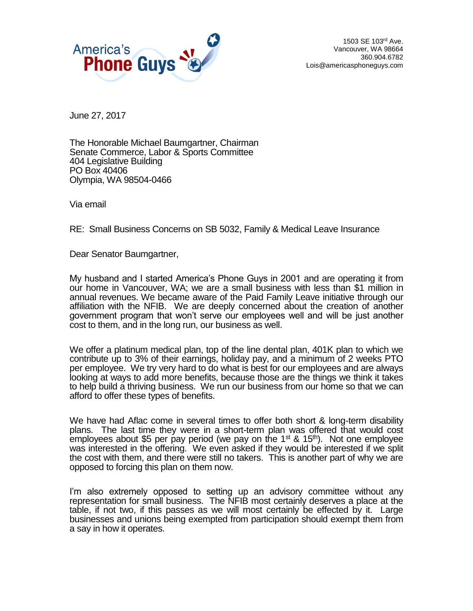

1503 SE 103rd Ave. Vancouver, WA 98664 360.904.6782 Lois@americasphoneguys.com

June 27, 2017

The Honorable Michael Baumgartner, Chairman Senate Commerce, Labor & Sports Committee 404 Legislative Building PO Box 40406 Olympia, WA 98504-0466

Via email

RE: Small Business Concerns on SB 5032, Family & Medical Leave Insurance

Dear Senator Baumgartner,

My husband and I started America's Phone Guys in 2001 and are operating it from our home in Vancouver, WA; we are a small business with less than \$1 million in annual revenues. We became aware of the Paid Family Leave initiative through our affiliation with the NFIB. We are deeply concerned about the creation of another government program that won't serve our employees well and will be just another cost to them, and in the long run, our business as well.

We offer a platinum medical plan, top of the line dental plan, 401K plan to which we contribute up to 3% of their earnings, holiday pay, and a minimum of 2 weeks PTO per employee. We try very hard to do what is best for our employees and are always looking at ways to add more benefits, because those are the things we think it takes to help build a thriving business. We run our business from our home so that we can afford to offer these types of benefits.

We have had Aflac come in several times to offer both short & long-term disability plans. The last time they were in a short-term plan was offered that would cost employees about \$5 per pay period (we pay on the 1<sup>st</sup> & 15<sup>th</sup>). Not one employee was interested in the offering. We even asked if they would be interested if we split the cost with them, and there were still no takers. This is another part of why we are opposed to forcing this plan on them now.

I'm also extremely opposed to setting up an advisory committee without any representation for small business. The NFIB most certainly deserves a place at the table, if not two, if this passes as we will most certainly be effected by it. Large businesses and unions being exempted from participation should exempt them from a say in how it operates.